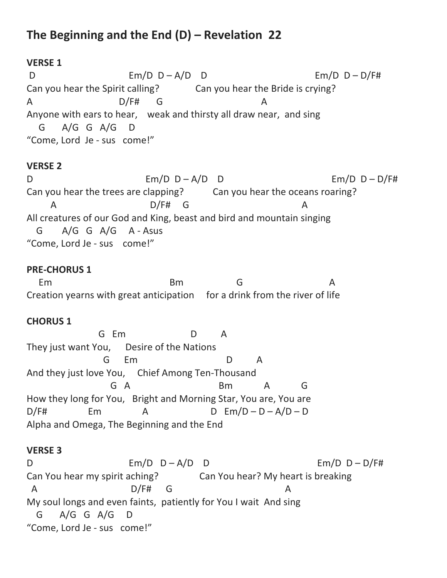# **The Beginning and the End (D) – Revelation 22**

## **VERSE 1**

D Em/D D – A/D D Em/D D – D/F# Can you hear the Spirit calling? Can you hear the Bride is crying? A D/F# G A Anyone with ears to hear, weak and thirsty all draw near, and sing G A/G G A/G D "Come, Lord Je - sus come!"

# **VERSE 2**

D  $Em/D D - A/D D$   $Em/D D - B/T$ # Can you hear the trees are clapping? Can you hear the oceans roaring? A D/F# G A All creatures of our God and King, beast and bird and mountain singing G A/G G A/G A - Asus "Come, Lord Je - sus come!"

### **PRE-CHORUS 1**

Em Bm G A Creation yearns with great anticipation for a drink from the river of life

### **CHORUS 1**

 G Em D A They just want You, Desire of the Nations G Em D A And they just love You, Chief Among Ten-Thousand G A Bm A G How they long for You, Bright and Morning Star, You are, You are  $D/F#$  Em A D Em/D – D – A/D – D Alpha and Omega, The Beginning and the End

### **VERSE 3**

D Em/D D – A/D D Em/D D – D/F# Can You hear my spirit aching? Can You hear? My heart is breaking A D/F# G My soul longs and even faints, patiently for You I wait And sing G A/G G A/G D "Come, Lord Je - sus come!"